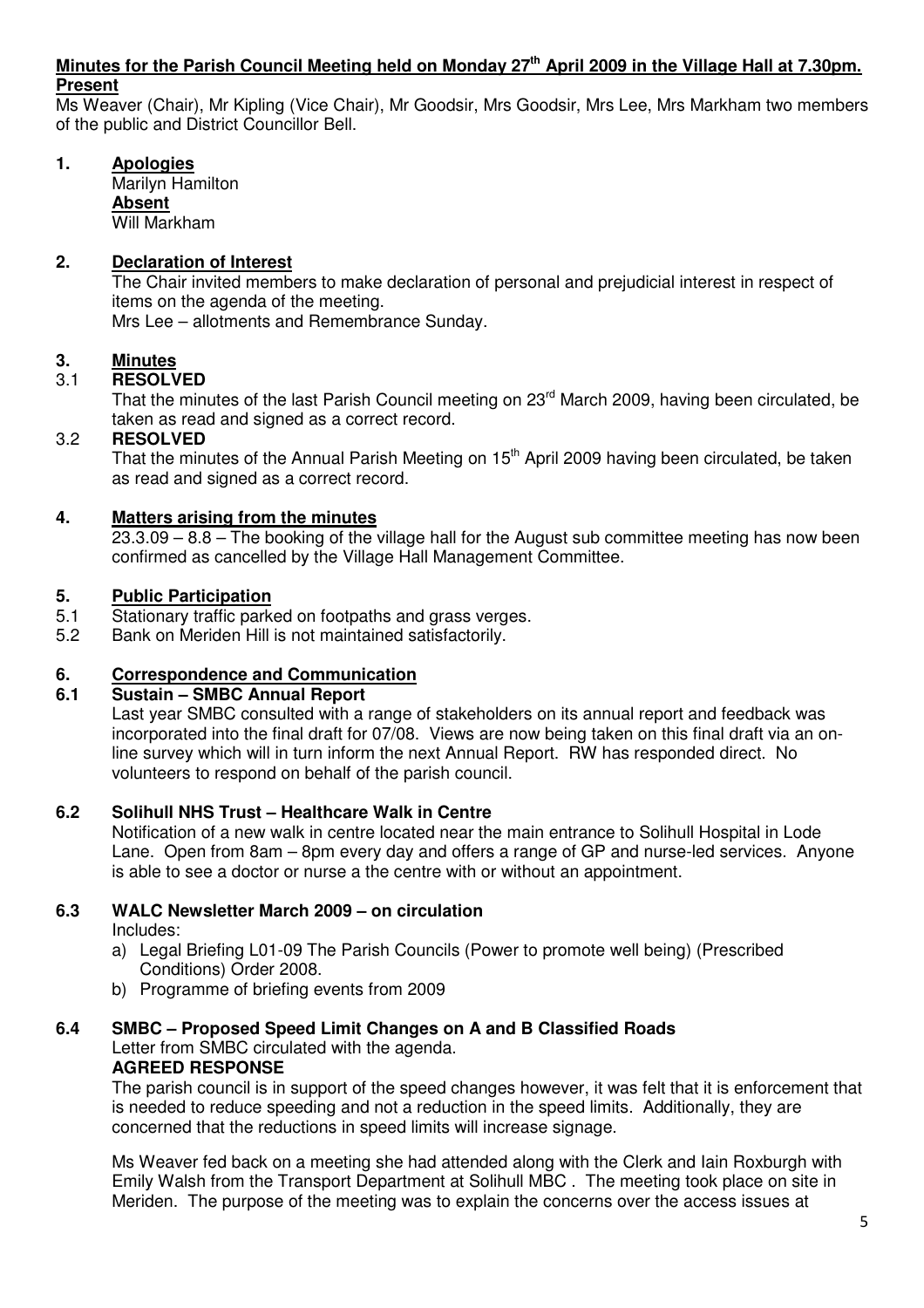#### **Minutes for the Parish Council Meeting held on Monday 27th April 2009 in the Village Hall at 7.30pm. Present**

Ms Weaver (Chair), Mr Kipling (Vice Chair), Mr Goodsir, Mrs Goodsir, Mrs Lee, Mrs Markham two members of the public and District Councillor Bell.

# **1. Apologies**

 Marilyn Hamilton  **Absent** Will Markham

# **2. Declaration of Interest**

The Chair invited members to make declaration of personal and prejudicial interest in respect of items on the agenda of the meeting.

Mrs Lee – allotments and Remembrance Sunday.

# **3. Minutes**

# 3.1 **RESOLVED**

That the minutes of the last Parish Council meeting on 23<sup>rd</sup> March 2009, having been circulated, be taken as read and signed as a correct record.

## 3.2 **RESOLVED**

That the minutes of the Annual Parish Meeting on 15<sup>th</sup> April 2009 having been circulated, be taken as read and signed as a correct record.

# **4. Matters arising from the minutes**

23.3.09 – 8.8 – The booking of the village hall for the August sub committee meeting has now been confirmed as cancelled by the Village Hall Management Committee.

## **5. Public Participation**

- 5.1 Stationary traffic parked on footpaths and grass verges.
- 5.2 Bank on Meriden Hill is not maintained satisfactorily.

## **6. Correspondence and Communication**

## **6.1 Sustain – SMBC Annual Report**

Last year SMBC consulted with a range of stakeholders on its annual report and feedback was incorporated into the final draft for 07/08. Views are now being taken on this final draft via an online survey which will in turn inform the next Annual Report. RW has responded direct. No volunteers to respond on behalf of the parish council.

## **6.2 Solihull NHS Trust – Healthcare Walk in Centre**

Notification of a new walk in centre located near the main entrance to Solihull Hospital in Lode Lane. Open from 8am – 8pm every day and offers a range of GP and nurse-led services. Anyone is able to see a doctor or nurse a the centre with or without an appointment.

## **6.3 WALC Newsletter March 2009 – on circulation**

Includes:

- a) Legal Briefing L01-09 The Parish Councils (Power to promote well being) (Prescribed Conditions) Order 2008.
- b) Programme of briefing events from 2009

# **6.4 SMBC – Proposed Speed Limit Changes on A and B Classified Roads**  Letter from SMBC circulated with the agenda.

# **AGREED RESPONSE**

The parish council is in support of the speed changes however, it was felt that it is enforcement that is needed to reduce speeding and not a reduction in the speed limits. Additionally, they are concerned that the reductions in speed limits will increase signage.

Ms Weaver fed back on a meeting she had attended along with the Clerk and Iain Roxburgh with Emily Walsh from the Transport Department at Solihull MBC . The meeting took place on site in Meriden. The purpose of the meeting was to explain the concerns over the access issues at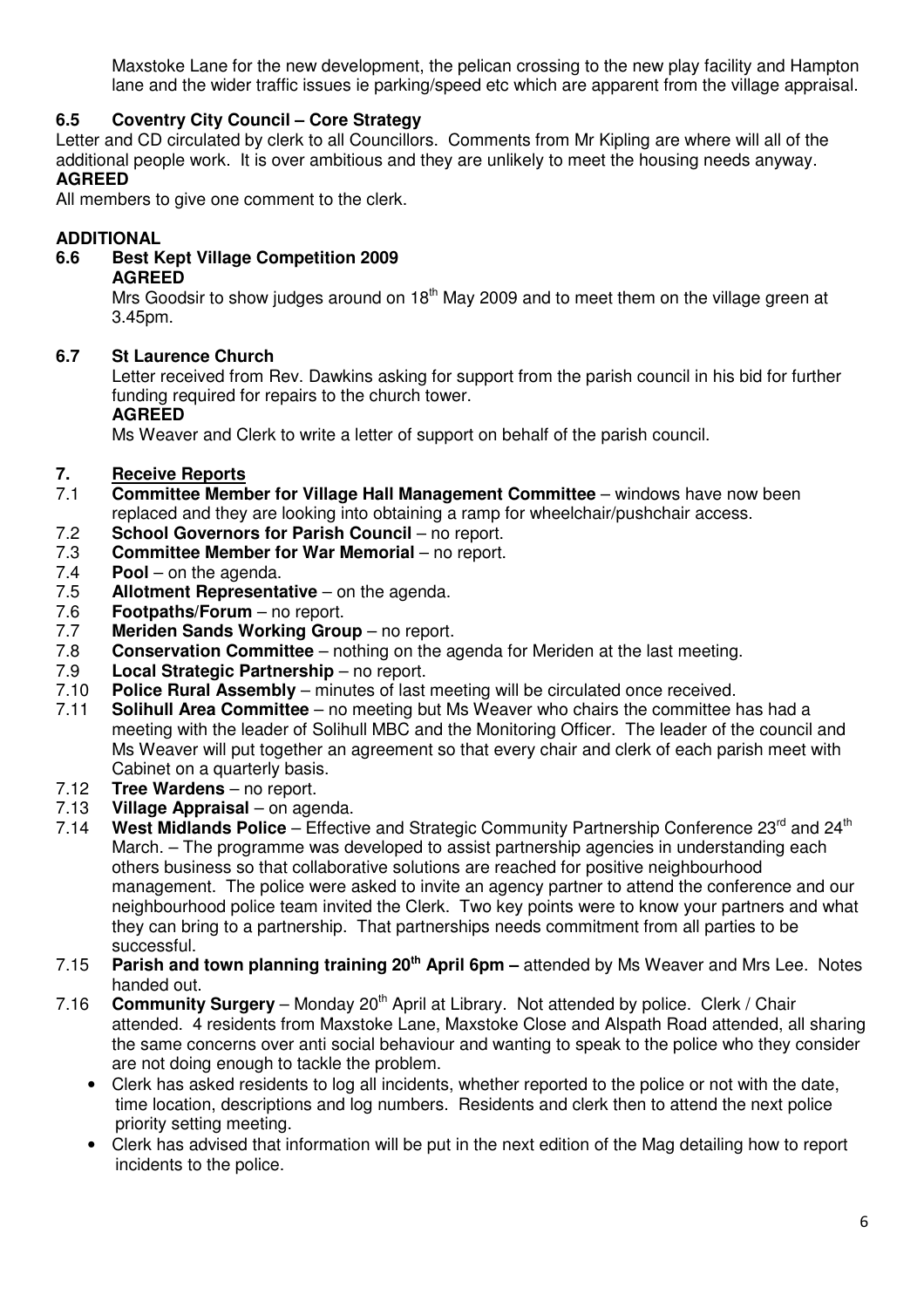Maxstoke Lane for the new development, the pelican crossing to the new play facility and Hampton lane and the wider traffic issues ie parking/speed etc which are apparent from the village appraisal.

# **6.5 Coventry City Council – Core Strategy**

Letter and CD circulated by clerk to all Councillors. Comments from Mr Kipling are where will all of the additional people work. It is over ambitious and they are unlikely to meet the housing needs anyway. **AGREED** 

All members to give one comment to the clerk.

# **ADDITIONAL**

**6.6 Best Kept Village Competition 2009 AGREED** 

Mrs Goodsir to show judges around on  $18<sup>th</sup>$  May 2009 and to meet them on the village green at 3.45pm.

# **6.7 St Laurence Church**

Letter received from Rev. Dawkins asking for support from the parish council in his bid for further funding required for repairs to the church tower.

# **AGREED**

Ms Weaver and Clerk to write a letter of support on behalf of the parish council.

# **7. Receive Reports**

- 7.1 **Committee Member for Village Hall Management Committee**  windows have now been replaced and they are looking into obtaining a ramp for wheelchair/pushchair access.
- 7.2 **School Governors for Parish Council** no report.
- 7.3 **Committee Member for War Memorial** no report.<br>7.4 **Pool** on the agenda.
- 7.4 **Pool** on the agenda.
- Allotment Representative on the agenda.
- 7.6 **Footpaths/Forum**  no report.
- 7.7 **Meriden Sands Working Group** no report.
- 7.8 **Conservation Committee**  nothing on the agenda for Meriden at the last meeting.
- 7.9 **Local Strategic Partnership**  no report.
- 7.10 **Police Rural Assembly** minutes of last meeting will be circulated once received.
- 7.11 **Solihull Area Committee**  no meeting but Ms Weaver who chairs the committee has had a meeting with the leader of Solihull MBC and the Monitoring Officer. The leader of the council and Ms Weaver will put together an agreement so that every chair and clerk of each parish meet with Cabinet on a quarterly basis.
- 7.12 **Tree Wardens**  no report.
- 7.13 **Village Appraisal** on agenda.
- West Midlands Police Effective and Strategic Community Partnership Conference 23<sup>rd</sup> and 24<sup>th</sup> March. – The programme was developed to assist partnership agencies in understanding each others business so that collaborative solutions are reached for positive neighbourhood management. The police were asked to invite an agency partner to attend the conference and our neighbourhood police team invited the Clerk. Two key points were to know your partners and what they can bring to a partnership. That partnerships needs commitment from all parties to be successful.
- 7.15 **Parish and town planning training 20th April 6pm** attended by Ms Weaver and Mrs Lee. Notes handed out.
- 7.16 **Community Surgery** Monday 20<sup>th</sup> April at Library. Not attended by police. Clerk / Chair attended. 4 residents from Maxstoke Lane, Maxstoke Close and Alspath Road attended, all sharing the same concerns over anti social behaviour and wanting to speak to the police who they consider are not doing enough to tackle the problem.
	- Clerk has asked residents to log all incidents, whether reported to the police or not with the date, time location, descriptions and log numbers. Residents and clerk then to attend the next police priority setting meeting.
	- Clerk has advised that information will be put in the next edition of the Mag detailing how to report incidents to the police.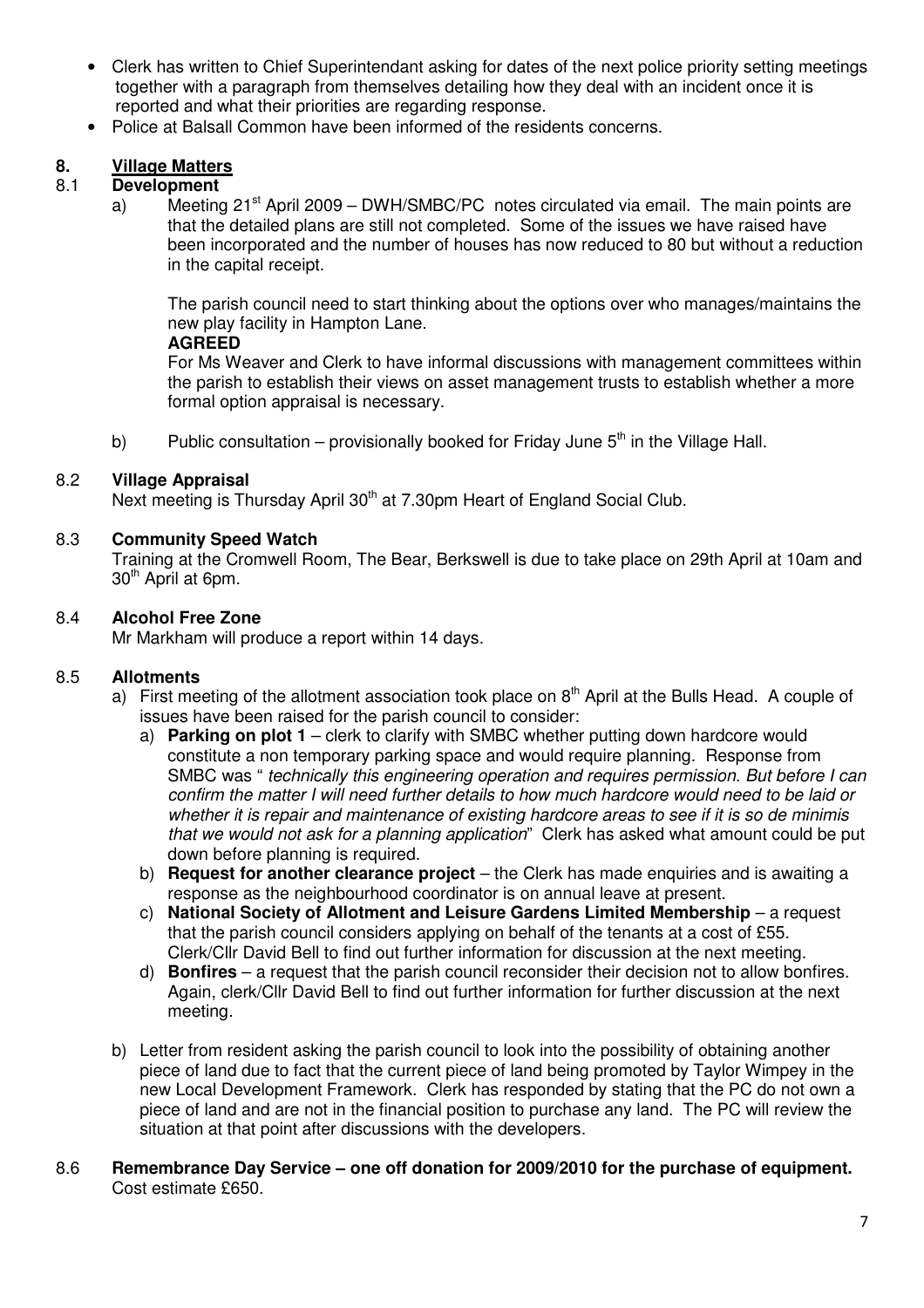- Clerk has written to Chief Superintendant asking for dates of the next police priority setting meetings together with a paragraph from themselves detailing how they deal with an incident once it is reported and what their priorities are regarding response.
- Police at Balsall Common have been informed of the residents concerns.

# **8. Village Matters**

# 8.1 **Development**

a) Meeting  $21^{st}$  April 2009 – DWH/SMBC/PC notes circulated via email. The main points are that the detailed plans are still not completed. Some of the issues we have raised have been incorporated and the number of houses has now reduced to 80 but without a reduction in the capital receipt.

The parish council need to start thinking about the options over who manages/maintains the new play facility in Hampton Lane.

#### **AGREED**

 For Ms Weaver and Clerk to have informal discussions with management committees within the parish to establish their views on asset management trusts to establish whether a more formal option appraisal is necessary.

b) Public consultation – provisionally booked for Friday June  $5<sup>th</sup>$  in the Village Hall.

## 8.2 **Village Appraisal**

Next meeting is Thursday April 30<sup>th</sup> at 7.30pm Heart of England Social Club.

## 8.3 **Community Speed Watch**

Training at the Cromwell Room, The Bear, Berkswell is due to take place on 29th April at 10am and 30<sup>th</sup> April at 6pm.

#### 8.4 **Alcohol Free Zone**

Mr Markham will produce a report within 14 days.

## 8.5 **Allotments**

- a) First meeting of the allotment association took place on  $8<sup>th</sup>$  April at the Bulls Head. A couple of issues have been raised for the parish council to consider:
	- a) **Parking on plot 1** clerk to clarify with SMBC whether putting down hardcore would constitute a non temporary parking space and would require planning. Response from SMBC was " technically this engineering operation and requires permission. But before I can confirm the matter I will need further details to how much hardcore would need to be laid or whether it is repair and maintenance of existing hardcore areas to see if it is so de minimis that we would not ask for a planning application" Clerk has asked what amount could be put down before planning is required.
	- b) **Request for another clearance project** the Clerk has made enquiries and is awaiting a response as the neighbourhood coordinator is on annual leave at present.
	- c) **National Society of Allotment and Leisure Gardens Limited Membership** a request that the parish council considers applying on behalf of the tenants at a cost of £55. Clerk/Cllr David Bell to find out further information for discussion at the next meeting.
	- d) **Bonfires** a request that the parish council reconsider their decision not to allow bonfires. Again, clerk/Cllr David Bell to find out further information for further discussion at the next meeting.
- b) Letter from resident asking the parish council to look into the possibility of obtaining another piece of land due to fact that the current piece of land being promoted by Taylor Wimpey in the new Local Development Framework. Clerk has responded by stating that the PC do not own a piece of land and are not in the financial position to purchase any land. The PC will review the situation at that point after discussions with the developers.
- 8.6 **Remembrance Day Service one off donation for 2009/2010 for the purchase of equipment.** Cost estimate £650.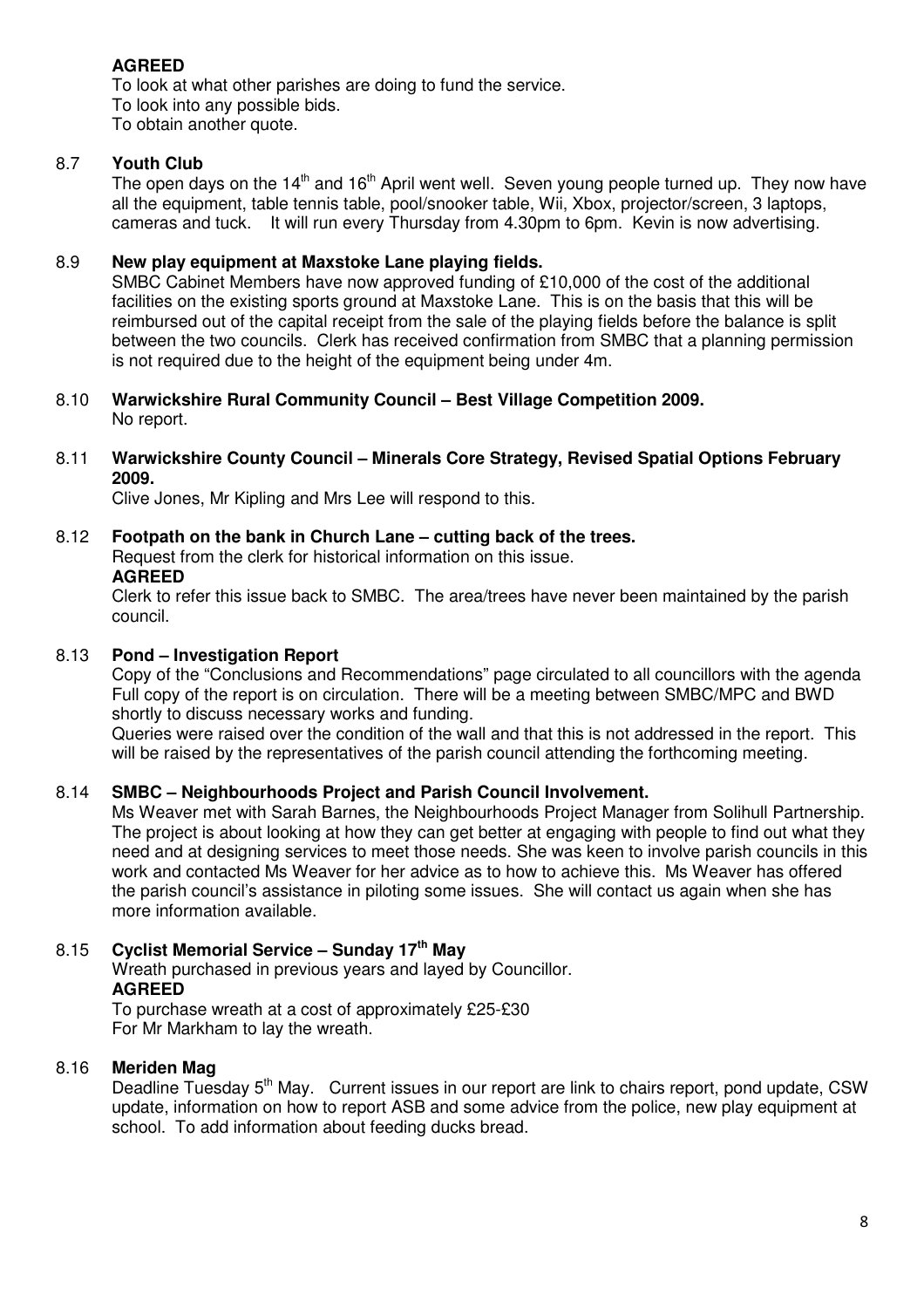# **AGREED**

To look at what other parishes are doing to fund the service. To look into any possible bids. To obtain another quote.

# 8.7 **Youth Club**

The open days on the 14<sup>th</sup> and 16<sup>th</sup> April went well. Seven young people turned up. They now have all the equipment, table tennis table, pool/snooker table, Wii, Xbox, projector/screen, 3 laptops, cameras and tuck. It will run every Thursday from 4.30pm to 6pm. Kevin is now advertising.

# 8.9 **New play equipment at Maxstoke Lane playing fields.**

SMBC Cabinet Members have now approved funding of £10,000 of the cost of the additional facilities on the existing sports ground at Maxstoke Lane. This is on the basis that this will be reimbursed out of the capital receipt from the sale of the playing fields before the balance is split between the two councils. Clerk has received confirmation from SMBC that a planning permission is not required due to the height of the equipment being under 4m.

- 8.10 **Warwickshire Rural Community Council Best Village Competition 2009.**  No report.
- 8.11 **Warwickshire County Council Minerals Core Strategy, Revised Spatial Options February 2009.**

Clive Jones, Mr Kipling and Mrs Lee will respond to this.

# 8.12 **Footpath on the bank in Church Lane – cutting back of the trees.**

Request from the clerk for historical information on this issue. **AGREED** 

Clerk to refer this issue back to SMBC. The area/trees have never been maintained by the parish council.

# 8.13 **Pond – Investigation Report**

Copy of the "Conclusions and Recommendations" page circulated to all councillors with the agenda Full copy of the report is on circulation. There will be a meeting between SMBC/MPC and BWD shortly to discuss necessary works and funding.

Queries were raised over the condition of the wall and that this is not addressed in the report. This will be raised by the representatives of the parish council attending the forthcoming meeting.

## 8.14 **SMBC – Neighbourhoods Project and Parish Council Involvement.**

Ms Weaver met with Sarah Barnes, the Neighbourhoods Project Manager from Solihull Partnership. The project is about looking at how they can get better at engaging with people to find out what they need and at designing services to meet those needs. She was keen to involve parish councils in this work and contacted Ms Weaver for her advice as to how to achieve this. Ms Weaver has offered the parish council's assistance in piloting some issues. She will contact us again when she has more information available.

# 8.15 **Cyclist Memorial Service – Sunday 17th May**

Wreath purchased in previous years and layed by Councillor. **AGREED**  To purchase wreath at a cost of approximately £25-£30

For Mr Markham to lay the wreath.

# 8.16 **Meriden Mag**

Deadline Tuesday 5<sup>th</sup> May. Current issues in our report are link to chairs report, pond update, CSW update, information on how to report ASB and some advice from the police, new play equipment at school. To add information about feeding ducks bread.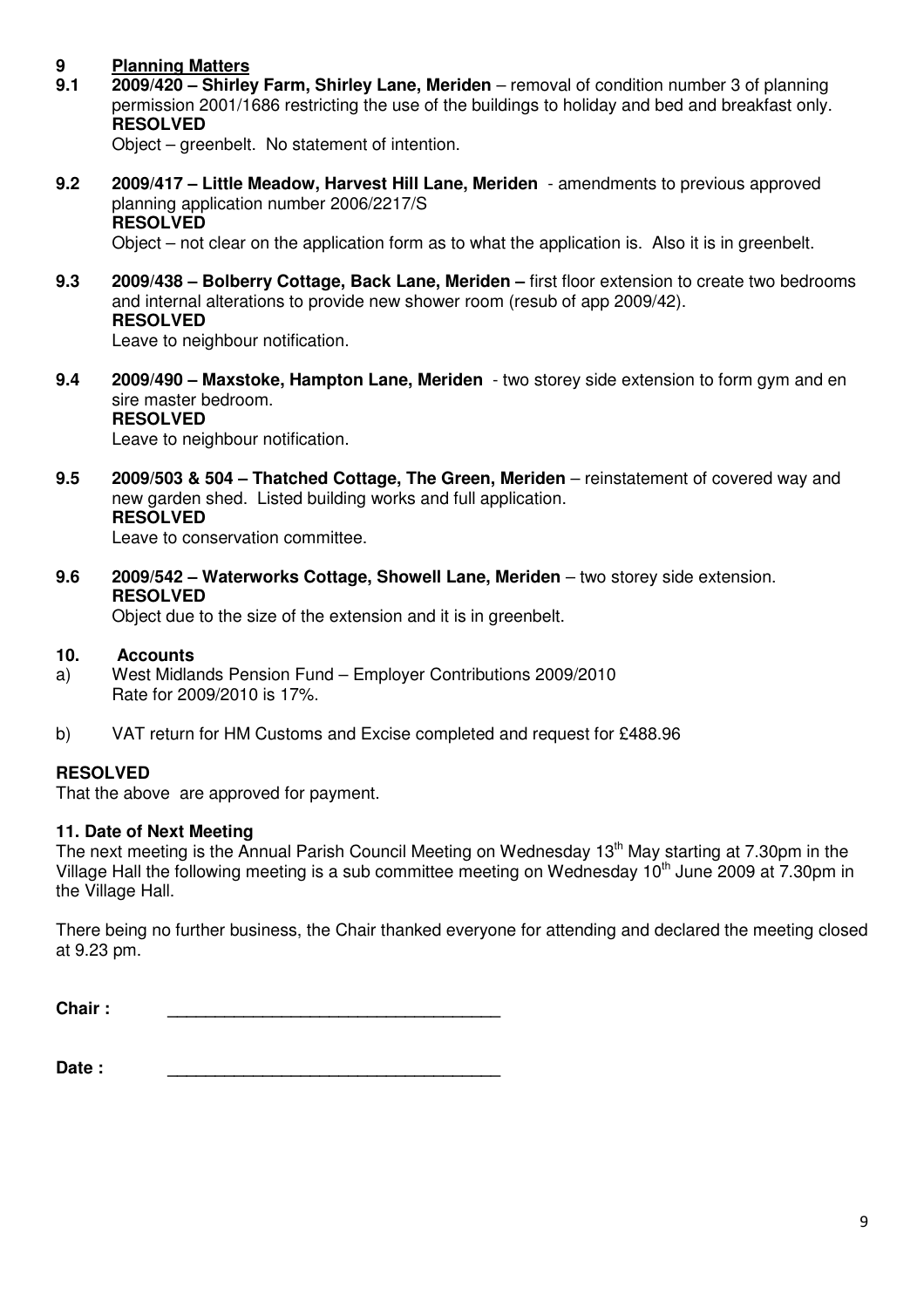# **9 Planning Matters**

**9.1 2009/420 – Shirley Farm, Shirley Lane, Meriden** – removal of condition number 3 of planning permission 2001/1686 restricting the use of the buildings to holiday and bed and breakfast only.  **RESOLVED**

Object – greenbelt. No statement of intention.

**9.2 2009/417 – Little Meadow, Harvest Hill Lane, Meriden** - amendments to previous approved planning application number 2006/2217/S  **RESOLVED** 

Object – not clear on the application form as to what the application is. Also it is in greenbelt.

**9.3 2009/438 – Bolberry Cottage, Back Lane, Meriden –** first floor extension to create two bedrooms and internal alterations to provide new shower room (resub of app 2009/42).  **RESOLVED** 

Leave to neighbour notification.

**9.4 2009/490 – Maxstoke, Hampton Lane, Meriden** - two storey side extension to form gym and en sire master bedroom.  **RESOLVED**

Leave to neighbour notification.

**9.5 2009/503 & 504 – Thatched Cottage, The Green, Meriden** – reinstatement of covered way and new garden shed. Listed building works and full application.  **RESOLVED**

Leave to conservation committee.

**9.6 2009/542 – Waterworks Cottage, Showell Lane, Meriden** – two storey side extension. **RESOLVED** 

Object due to the size of the extension and it is in greenbelt.

## **10. Accounts**

- a) West Midlands Pension Fund Employer Contributions 2009/2010 Rate for 2009/2010 is 17%.
- b) VAT return for HM Customs and Excise completed and request for £488.96

# **RESOLVED**

That the above are approved for payment.

# **11. Date of Next Meeting**

The next meeting is the Annual Parish Council Meeting on Wednesday 13<sup>th</sup> May starting at 7.30pm in the Village Hall the following meeting is a sub committee meeting on Wednesday 10<sup>th</sup> June 2009 at 7.30pm in the Village Hall.

There being no further business, the Chair thanked everyone for attending and declared the meeting closed at 9.23 pm.

**Chair : \_\_\_\_\_\_\_\_\_\_\_\_\_\_\_\_\_\_\_\_\_\_\_\_\_\_\_\_\_\_\_\_\_\_\_** 

**Date : \_\_\_\_\_\_\_\_\_\_\_\_\_\_\_\_\_\_\_\_\_\_\_\_\_\_\_\_\_\_\_\_\_\_\_**